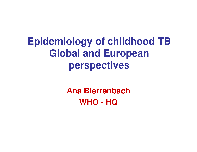# **Epidemiology of childhood TB Global and European perspectives**

**Ana BierrenbachWHO - HQ**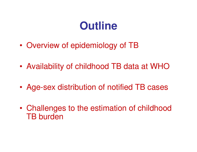# **Outline**

- •Overview of epidemiology of TB
- •Availability of childhood TB data at WHO
- •Age-sex distribution of notified TB cases
- • Challenges to the estimation of childhood TB burden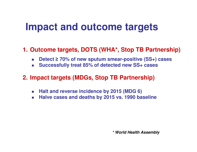#### **Impact and outcome targets**

#### **1. Outcome targets, DOTS (WHA\*, Stop TB Partnership)**

- $\sim 1$ ■ Detect ≥ 70% of new sputum smear-positive (SS+) cases
- $\sim 1$ **Successfully treat 85% of detected new SS+ cases**

#### **2. Impact targets (MDGs, Stop TB Partnership)**

- $\mathcal{C}^{\mathcal{A}}$ **Halt and reverse incidence by 2015 (MDG 6)**
- $\mathcal{L}_{\mathcal{A}}$ **Halve cases and deaths by 2015 vs. 1990 baseline**

**\* World Health Assembly**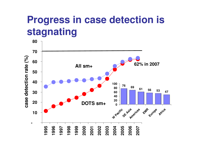## **Progress in case detection is stagnating**

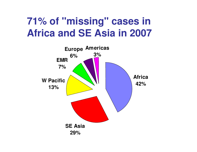# **71% of "missing" cases in Africa and SE Asia in 2007**

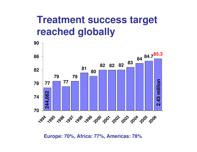#### **Treatment success target reached globally**



**Europe: 70%, Africa: 77%, Americas: 78%**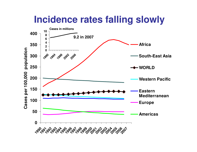#### **Incidence rates falling slowly**

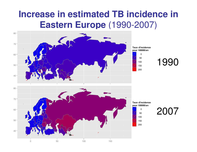# **Increase in estimated TB incidence in Eastern Europe** (1990-2007)

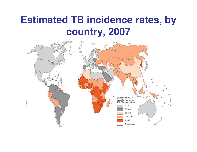### **Estimated TB incidence rates, by country, 2007**

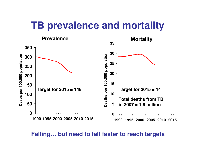#### **TB prevalence and mortality**



**Falling… but need to fall faster to reach targets**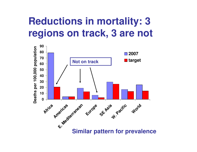## **Reductions in mortality: 3 regions on track, 3 are not**

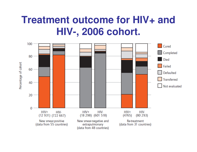## **Treatment outcome for HIV+ and HIV-, 2006 cohort.**

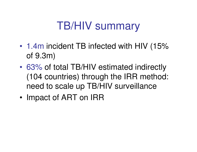# TB/HIV summary

- 1.4m incident TB infected with HIV (15% of 9.3m)
- • 63% of total TB/HIV estimated indirectly (104 countries) through the IRR method: need to scale up TB/HIV surveillance
- •Impact of ART on IRR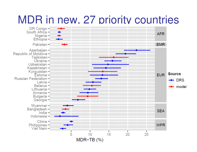# MDR in new, 27 priority countries

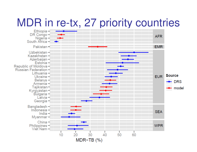# MDR in re-tx, 27 priority countries

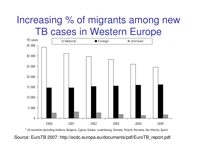### Increasing % of migrants among new TB cases in Western Europe



\* 24 countries (excluding Andorra, Bulgaria, Cyprus, Greece, Luxembourg, Monaco, Poland, Romania, San Marino, Spain)

Source: EuroTB 2007: http://ecdc.europa.eu/documents/pdf/EuroTB\_report.pdf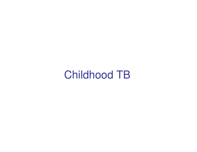# Childhood TB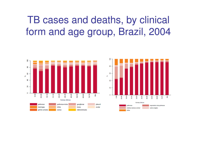TB cases and deaths, by clinical form and age group, Brazil, 2004



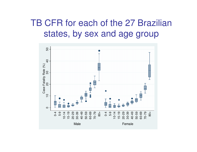#### TB CFR for each of the 27 Brazilian states, by sex and age group

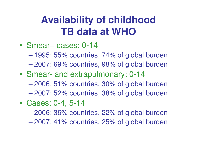# **Availability of childhood TB data at WHO**

- • Smear+ cases: 0-14
	- $\mathcal{L}_{\mathcal{A}}$  , and the set of the set of the set of the set of the set of the set of the set of the set of the set of the set of the set of the set of the set of the set of the set of the set of the set of the set of th 1995: 55% countries, 74% of global burden
	- $\mathcal{L}_{\mathcal{A}}$  , and the set of the set of the set of the set of the set of the set of the set of the set of the set of the set of the set of the set of the set of the set of the set of the set of the set of the set of th 2007: 69% countries, 98% of global burden
- • Smear- and extrapulmonary: 0-14
	- $\mathcal{L}_{\mathcal{A}}$  , and the set of the set of the set of the set of the set of the set of the set of the set of the set of the set of the set of the set of the set of the set of the set of the set of the set of the set of th 2006: 51% countries, 30% of global burden
	- $\mathcal{L}_{\mathcal{A}}$  , and the set of the set of the set of the set of the set of the set of the set of the set of the set of the set of the set of the set of the set of the set of the set of the set of the set of the set of th 2007: 52% countries, 38% of global burden
- • Cases: 0-4, 5-14
	- –2006: 36% countries, 22% of global burden
	- $\mathcal{L}_{\mathcal{A}}$  , and the set of the set of the set of the set of the set of the set of the set of the set of the set of the set of the set of the set of the set of the set of the set of the set of the set of the set of th 2007: 41% countries, 25% of global burden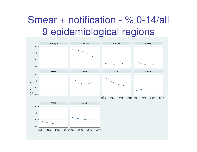### Smear + notification - % 0-14/all 9 epidemiological regions

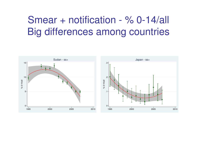## Smear + notification - % 0-14/all Big differences among countries

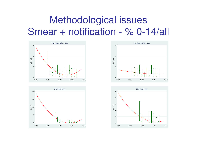# Methodological issues Smear + notification - % 0-14/all







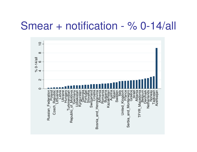## Smear + notification - % 0-14/all

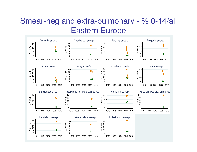#### Smear-neg and extra-pulmonary - % 0-14/all Eastern Europe

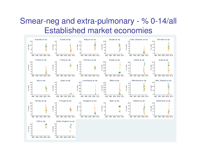#### Smear-neg and extra-pulmonary - % 0-14/all Established market economies

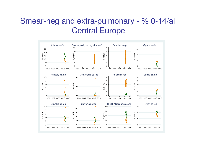#### Smear-neg and extra-pulmonary - % 0-14/all Central Europe

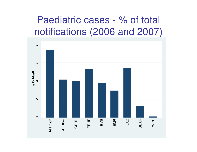#### Paediatric cases - % of total notifications (2006 and 2007)

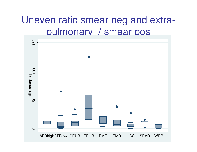#### Uneven ratio smear neg and extrapulmonary / smear pos

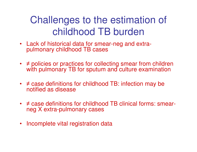# Challenges to the estimation of childhood TB burden

- Lack of historical data for smear-neg and extrapulmonary childhood TB cases
- $\neq$  policies or practices for collecting smear from children with pulmonary TB for sputum and culture examination
- ≠ case definitions for childhood TB: infection may be<br>netified as diasasse notified as disease
- ≠ case definitions for childhood TB clinical forms: smear-<br>nee Y extre pulmenery esses neg X extra-pulmonary cases
- Incomplete vital registration data